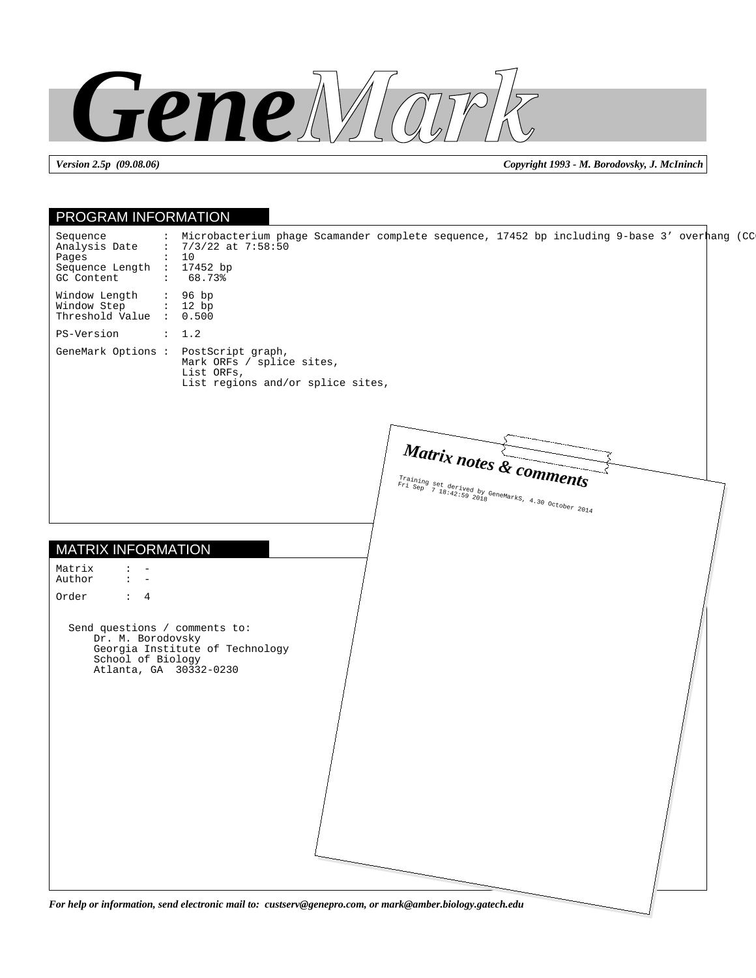

*Version 2.5p (09.08.06) Copyright 1993 - M. Borodovsky, J. McIninch*

| Sequence<br>Analysis Date<br>: $7/3/22$ at $7:58:50$<br>Pages<br>: 10<br>Sequence Length : 17452 bp<br>GC Content<br>: 68.73<br>: 96 bp<br>: 12 bp<br>PS-Version<br>: 1.2<br>Mark ORFs / splice sites,<br>List ORFs,<br>List regions and/or splice sites,<br>Matrix notes & comments<br>Training set derived by GeneMarks, 4.30 October 2014<br>$\mathbf{L}$<br>$\mathbf{1}$ $\mathbf{1}$<br>Order<br>$\colon$ 4<br>Send questions / comments to:<br>Dr. M. Borodovsky<br>Georgia Institute of Technology<br>School of Biology<br>Atlanta, GA 30332-0230 | : Microbacterium phage Scamander complete sequence, 17452 bp including 9-base 3' overhang (CC<br>For help or information, send electronic mail to: custserv@genepro.com, or mark@amber.biology.gatech.edu | <b>PROGRAM INFORMATION</b> |  |
|----------------------------------------------------------------------------------------------------------------------------------------------------------------------------------------------------------------------------------------------------------------------------------------------------------------------------------------------------------------------------------------------------------------------------------------------------------------------------------------------------------------------------------------------------------|-----------------------------------------------------------------------------------------------------------------------------------------------------------------------------------------------------------|----------------------------|--|
| Window Length<br>Window Step<br>Threshold Value : 0.500<br>GeneMark Options : PostScript graph,<br>Matrix<br>Author                                                                                                                                                                                                                                                                                                                                                                                                                                      |                                                                                                                                                                                                           |                            |  |
|                                                                                                                                                                                                                                                                                                                                                                                                                                                                                                                                                          |                                                                                                                                                                                                           |                            |  |
|                                                                                                                                                                                                                                                                                                                                                                                                                                                                                                                                                          |                                                                                                                                                                                                           |                            |  |
| <b>MATRIX INFORMATION</b>                                                                                                                                                                                                                                                                                                                                                                                                                                                                                                                                |                                                                                                                                                                                                           |                            |  |
|                                                                                                                                                                                                                                                                                                                                                                                                                                                                                                                                                          |                                                                                                                                                                                                           |                            |  |
|                                                                                                                                                                                                                                                                                                                                                                                                                                                                                                                                                          |                                                                                                                                                                                                           |                            |  |
|                                                                                                                                                                                                                                                                                                                                                                                                                                                                                                                                                          |                                                                                                                                                                                                           |                            |  |
|                                                                                                                                                                                                                                                                                                                                                                                                                                                                                                                                                          |                                                                                                                                                                                                           |                            |  |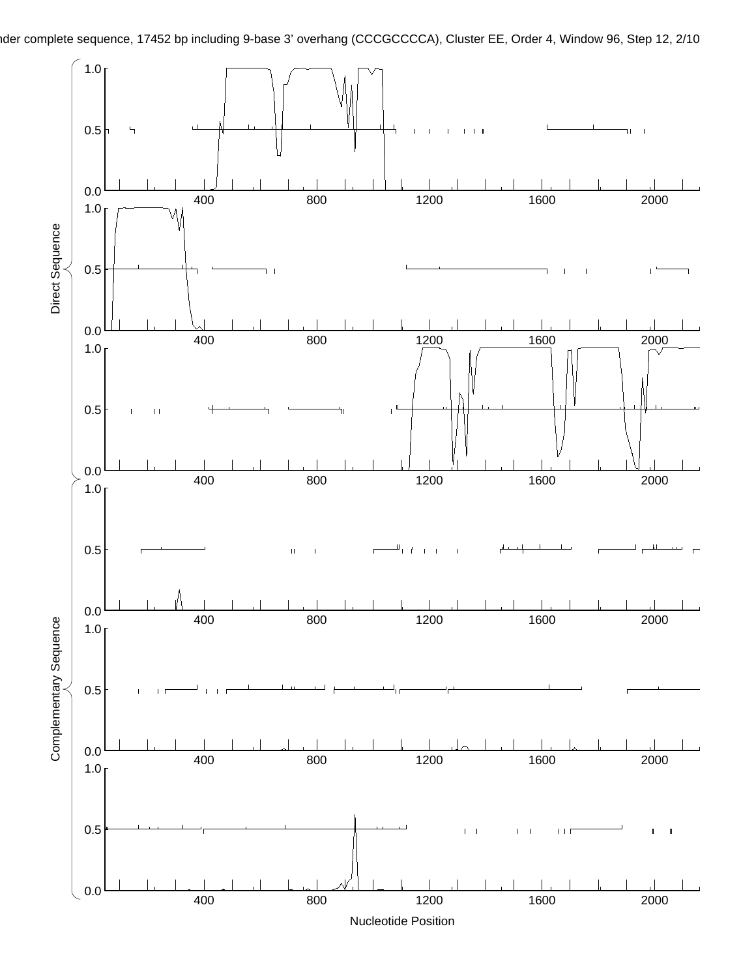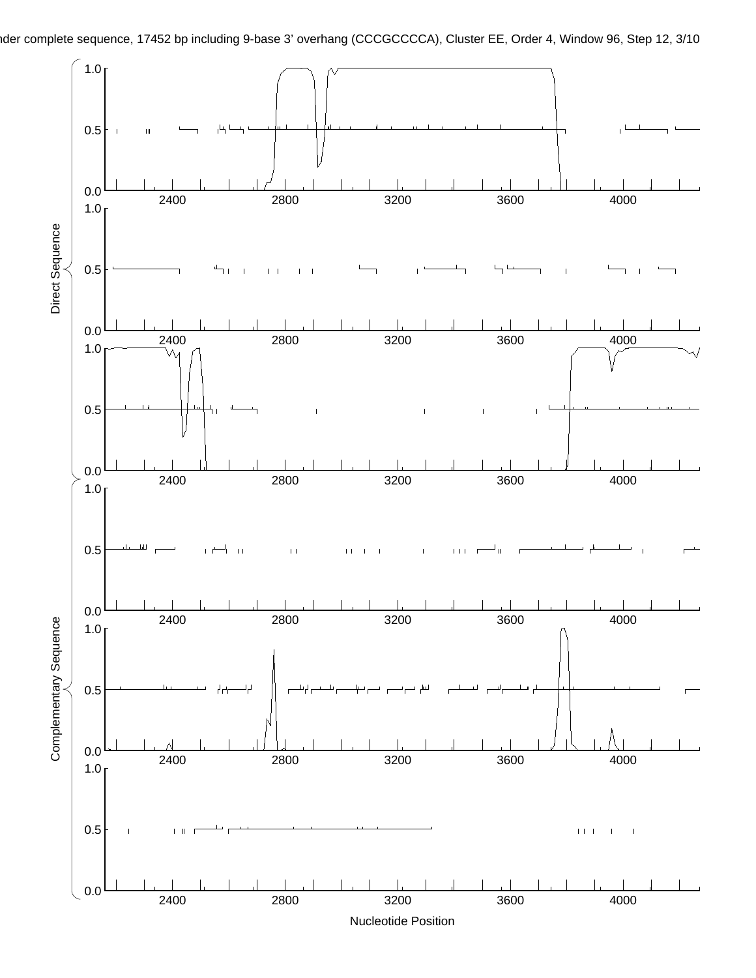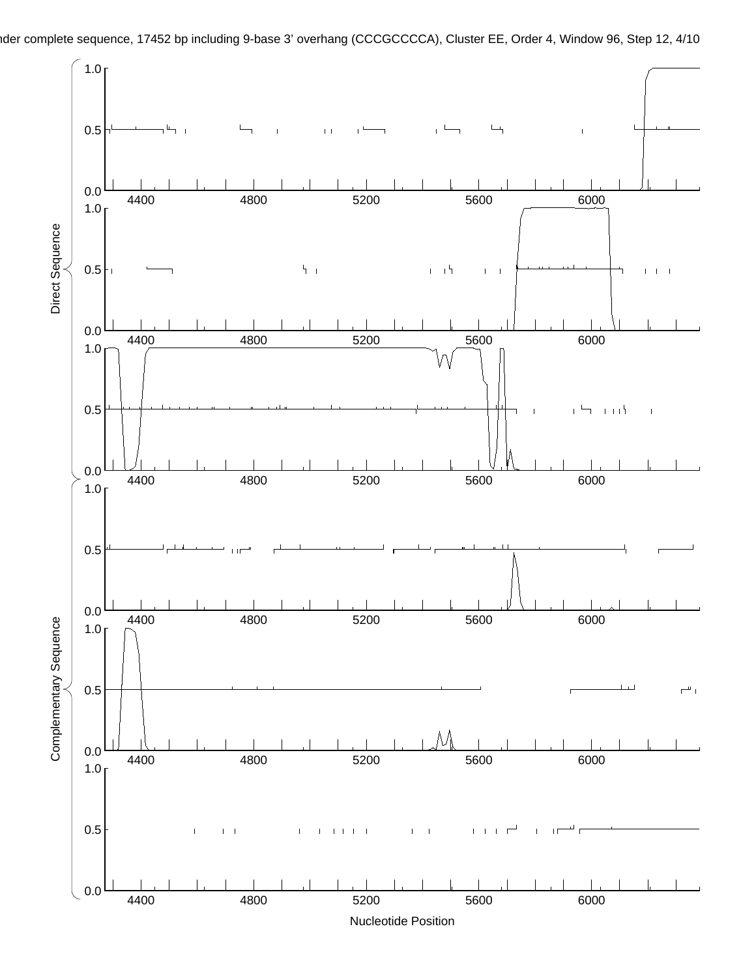

nder complete sequence, 17452 bp including 9-base 3' overhang (CCCGCCCCA), Cluster EE, Order 4, Window 96, Step 12, 4/10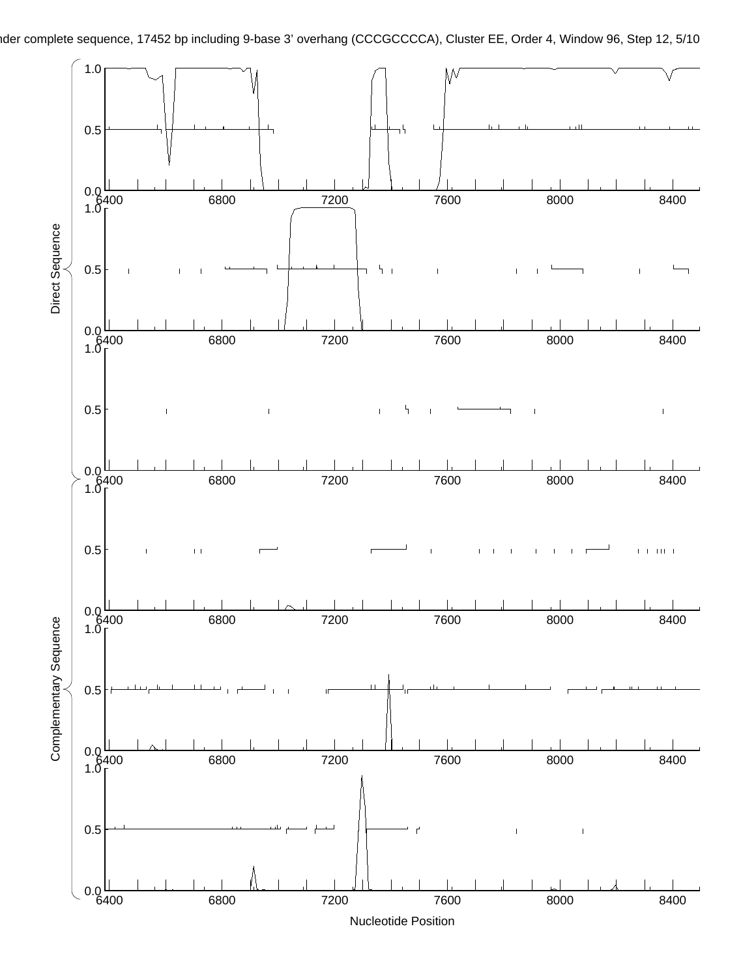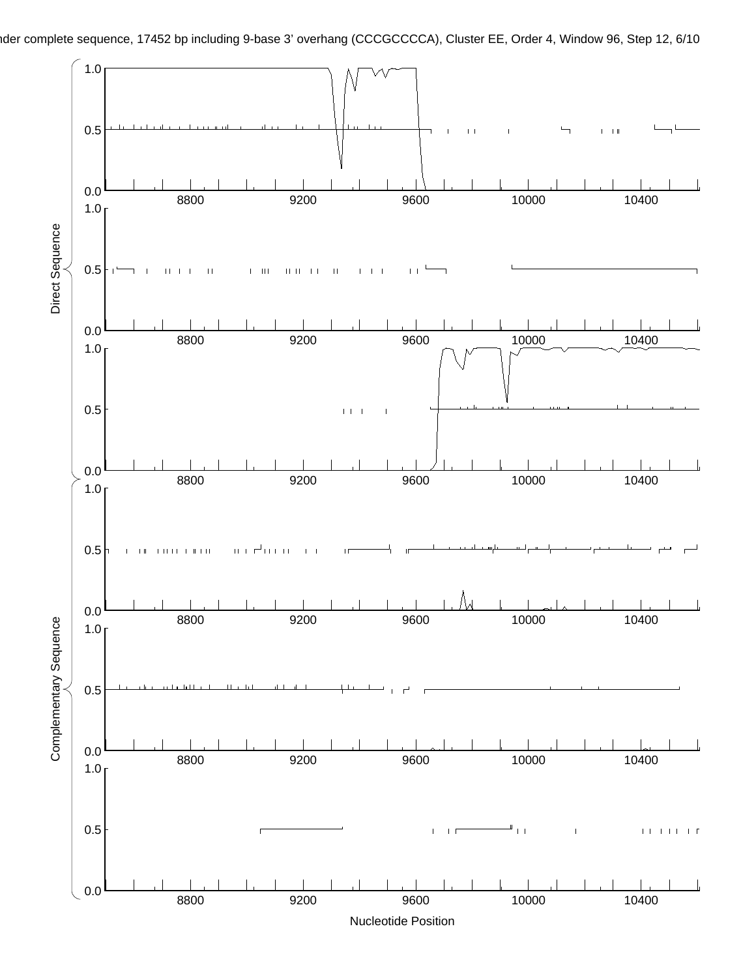

Nucleotide Position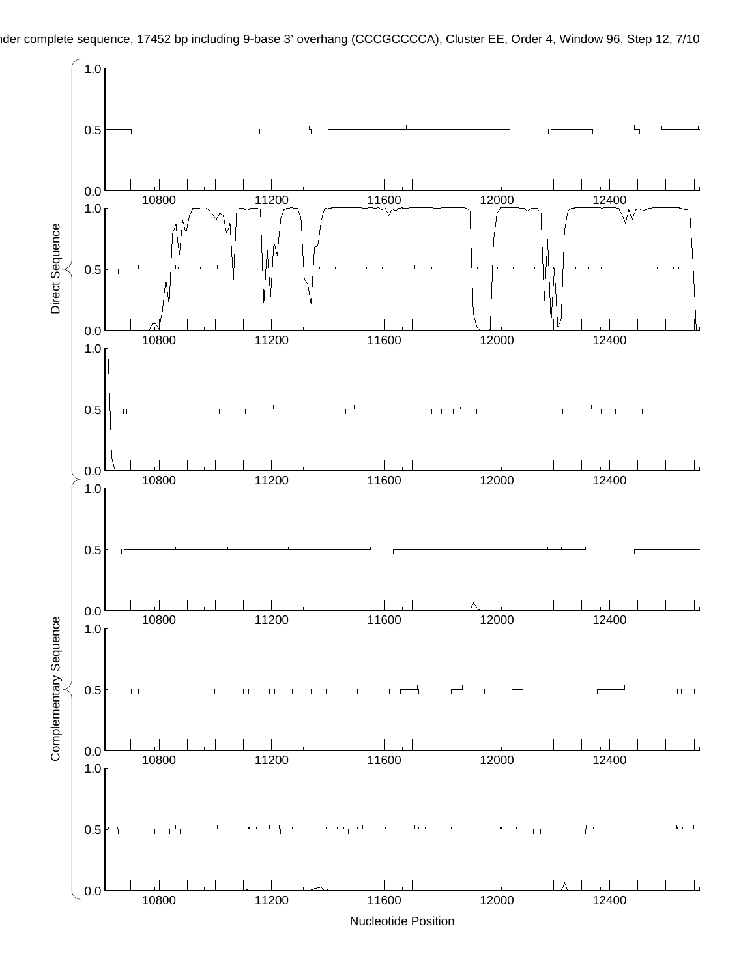$1.0<sub>5</sub>$ nder complete sequence, 17452 bp including 9-base 3' overhang (CCCGCCCCA), Cluster EE, Order 4, Window 96, Step 12, 7/10

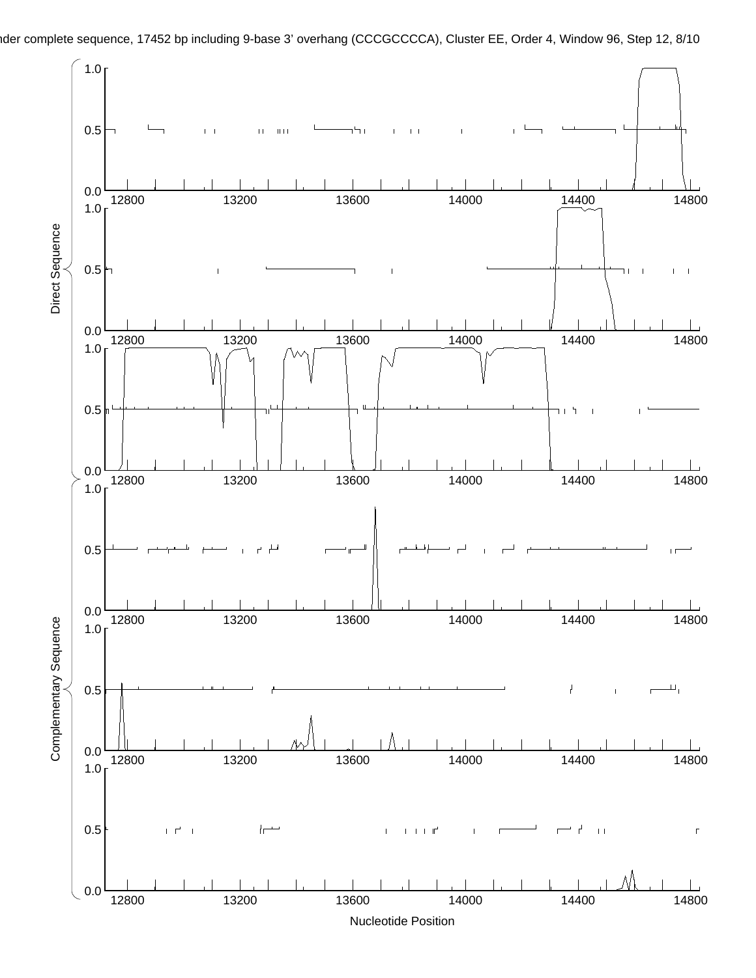

nder complete sequence, 17452 bp including 9-base 3' overhang (CCCGCCCCA), Cluster EE, Order 4, Window 96, Step 12, 8/10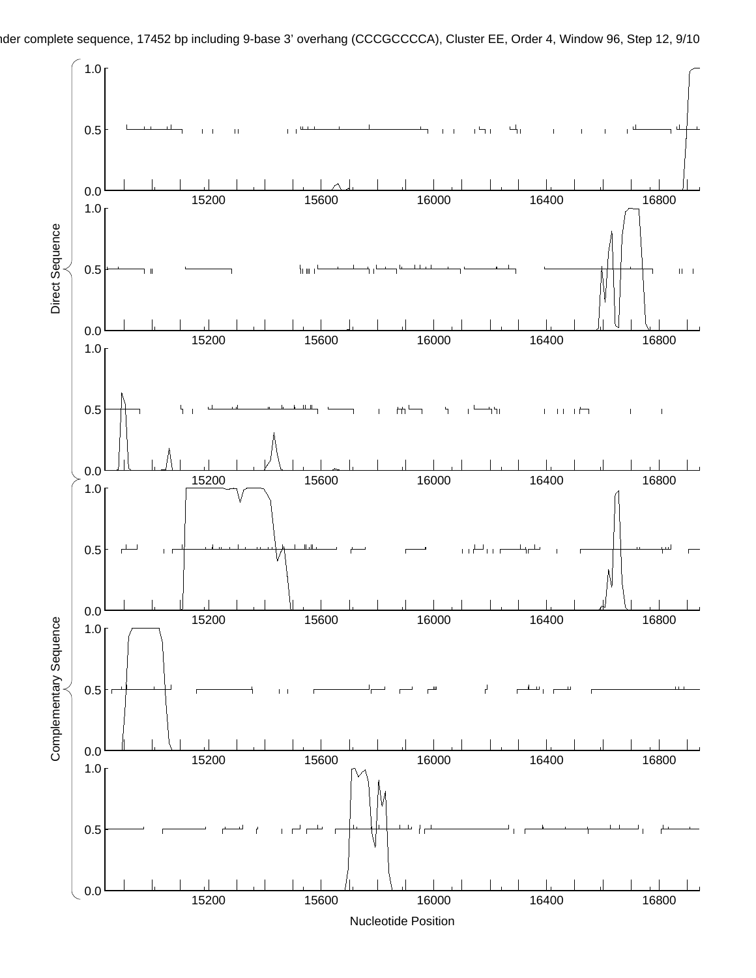

nder complete sequence, 17452 bp including 9-base 3' overhang (CCCGCCCCA), Cluster EE, Order 4, Window 96, Step 12, 9/10